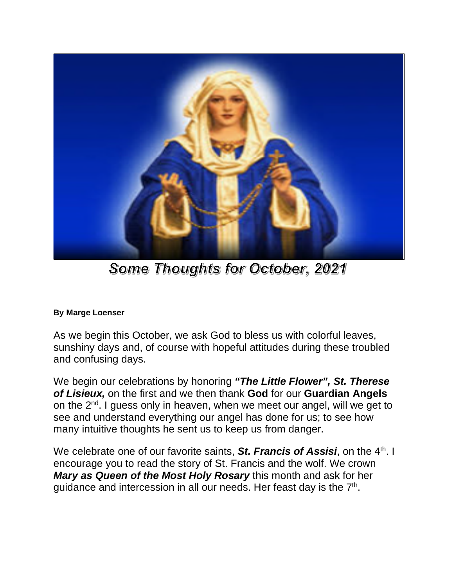

Some Thoughts for October, 2021

## **By Marge Loenser**

As we begin this October, we ask God to bless us with colorful leaves, sunshiny days and, of course with hopeful attitudes during these troubled and confusing days.

We begin our celebrations by honoring *"The Little Flower", St. Therese of Lisieux,* on the first and we then thank **God** for our **Guardian Angels** on the 2<sup>nd</sup>. I guess only in heaven, when we meet our angel, will we get to see and understand everything our angel has done for us; to see how many intuitive thoughts he sent us to keep us from danger.

We celebrate one of our favorite saints, **St. Francis of Assisi**, on the 4<sup>th</sup>. I encourage you to read the story of St. Francis and the wolf. We crown *Mary as Queen of the Most Holy Rosary* this month and ask for her guidance and intercession in all our needs. Her feast day is the  $7<sup>th</sup>$ .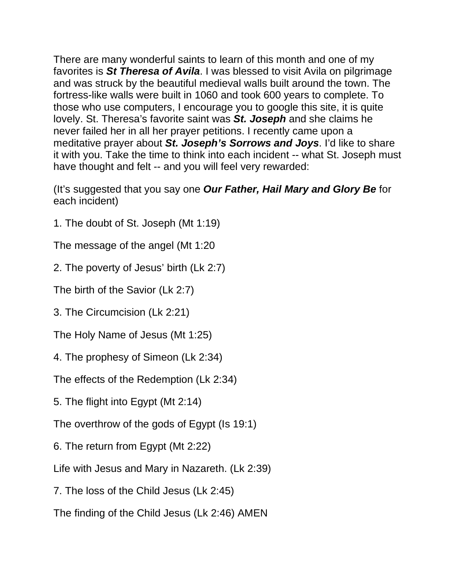There are many wonderful saints to learn of this month and one of my favorites is *St Theresa of Avila*. I was blessed to visit Avila on pilgrimage and was struck by the beautiful medieval walls built around the town. The fortress-like walls were built in 1060 and took 600 years to complete. To those who use computers, I encourage you to google this site, it is quite lovely. St. Theresa's favorite saint was *St. Joseph* and she claims he never failed her in all her prayer petitions. I recently came upon a meditative prayer about *St. Joseph's Sorrows and Joys*. I'd like to share it with you. Take the time to think into each incident -- what St. Joseph must have thought and felt -- and you will feel very rewarded:

(It's suggested that you say one *Our Father, Hail Mary and Glory Be* for each incident)

1. The doubt of St. Joseph (Mt 1:19)

The message of the angel (Mt 1:20

2. The poverty of Jesus' birth (Lk 2:7)

The birth of the Savior (Lk 2:7)

3. The Circumcision (Lk 2:21)

The Holy Name of Jesus (Mt 1:25)

4. The prophesy of Simeon (Lk 2:34)

The effects of the Redemption (Lk 2:34)

5. The flight into Egypt (Mt 2:14)

The overthrow of the gods of Egypt (Is 19:1)

6. The return from Egypt (Mt 2:22)

Life with Jesus and Mary in Nazareth. (Lk 2:39)

7. The loss of the Child Jesus (Lk 2:45)

The finding of the Child Jesus (Lk 2:46) AMEN